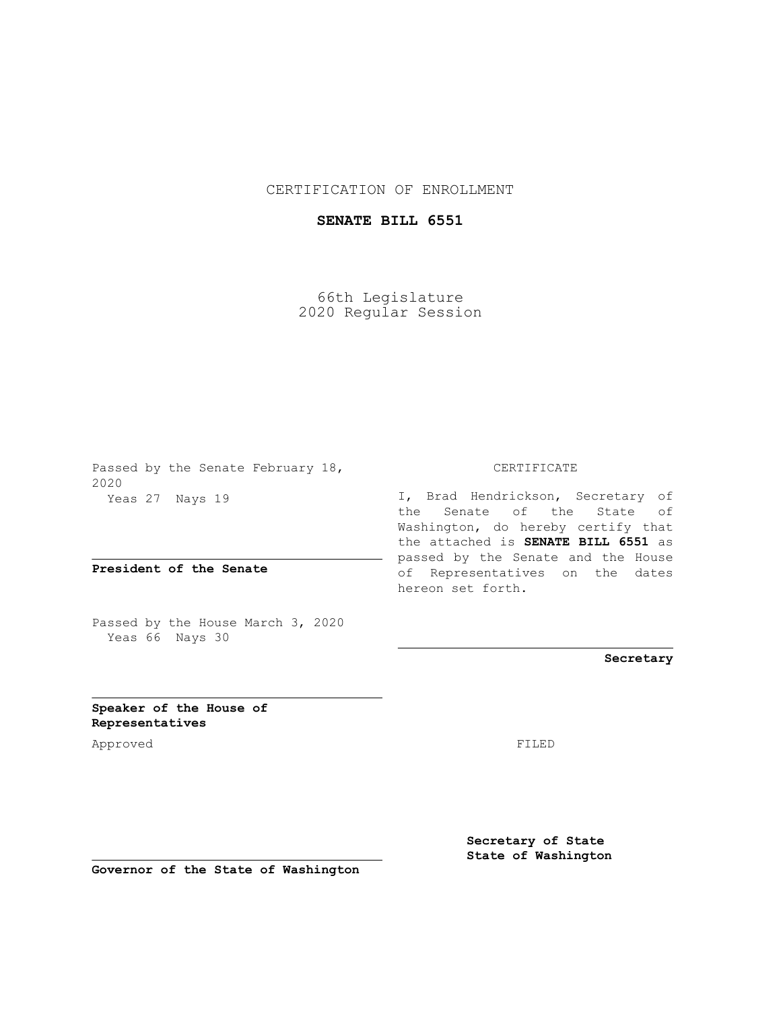## CERTIFICATION OF ENROLLMENT

## **SENATE BILL 6551**

66th Legislature 2020 Regular Session

Passed by the Senate February 18, 2020 Yeas 27 Nays 19

**President of the Senate**

Passed by the House March 3, 2020 Yeas 66 Nays 30

## CERTIFICATE

I, Brad Hendrickson, Secretary of the Senate of the State of Washington, do hereby certify that the attached is **SENATE BILL 6551** as passed by the Senate and the House of Representatives on the dates hereon set forth.

**Secretary**

**Speaker of the House of Representatives**

Approved FILED

**Secretary of State State of Washington**

**Governor of the State of Washington**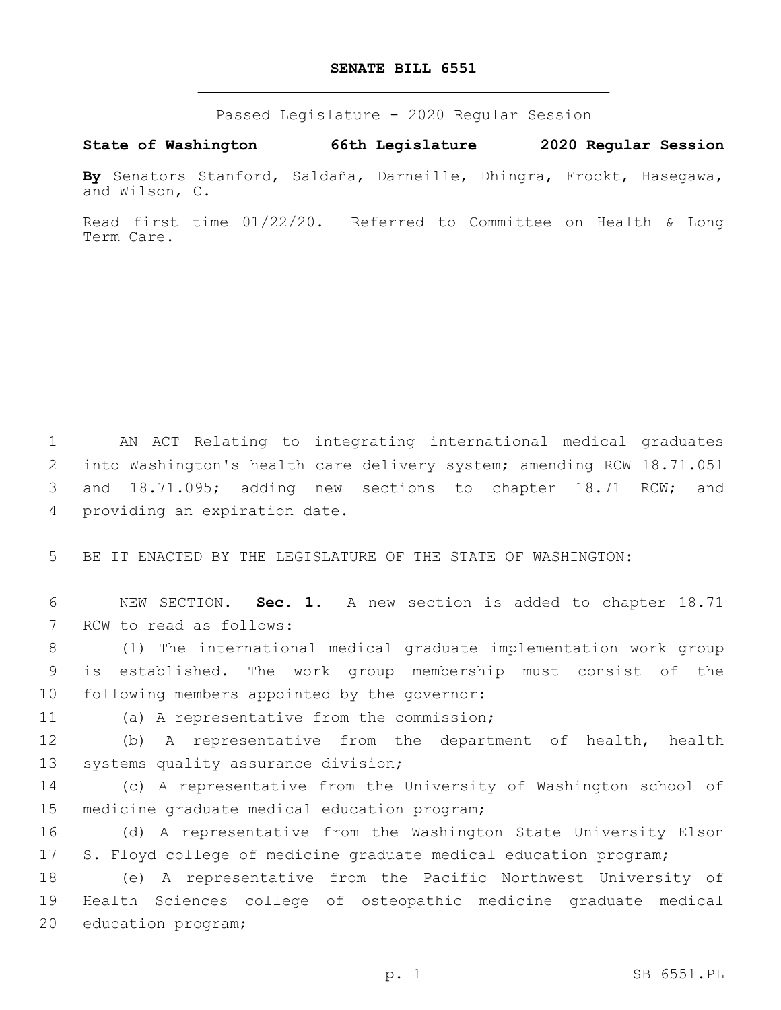## **SENATE BILL 6551**

Passed Legislature - 2020 Regular Session

**State of Washington 66th Legislature 2020 Regular Session**

**By** Senators Stanford, Saldaña, Darneille, Dhingra, Frockt, Hasegawa, and Wilson, C.

Read first time 01/22/20. Referred to Committee on Health & Long Term Care.

 AN ACT Relating to integrating international medical graduates into Washington's health care delivery system; amending RCW 18.71.051 and 18.71.095; adding new sections to chapter 18.71 RCW; and 4 providing an expiration date.

5 BE IT ENACTED BY THE LEGISLATURE OF THE STATE OF WASHINGTON:

6 NEW SECTION. **Sec. 1.** A new section is added to chapter 18.71 7 RCW to read as follows:

8 (1) The international medical graduate implementation work group 9 is established. The work group membership must consist of the 10 following members appointed by the governor:

11 (a) A representative from the commission;

12 (b) A representative from the department of health, health 13 systems quality assurance division;

14 (c) A representative from the University of Washington school of 15 medicine graduate medical education program;

16 (d) A representative from the Washington State University Elson 17 S. Floyd college of medicine graduate medical education program;

18 (e) A representative from the Pacific Northwest University of 19 Health Sciences college of osteopathic medicine graduate medical 20 education program;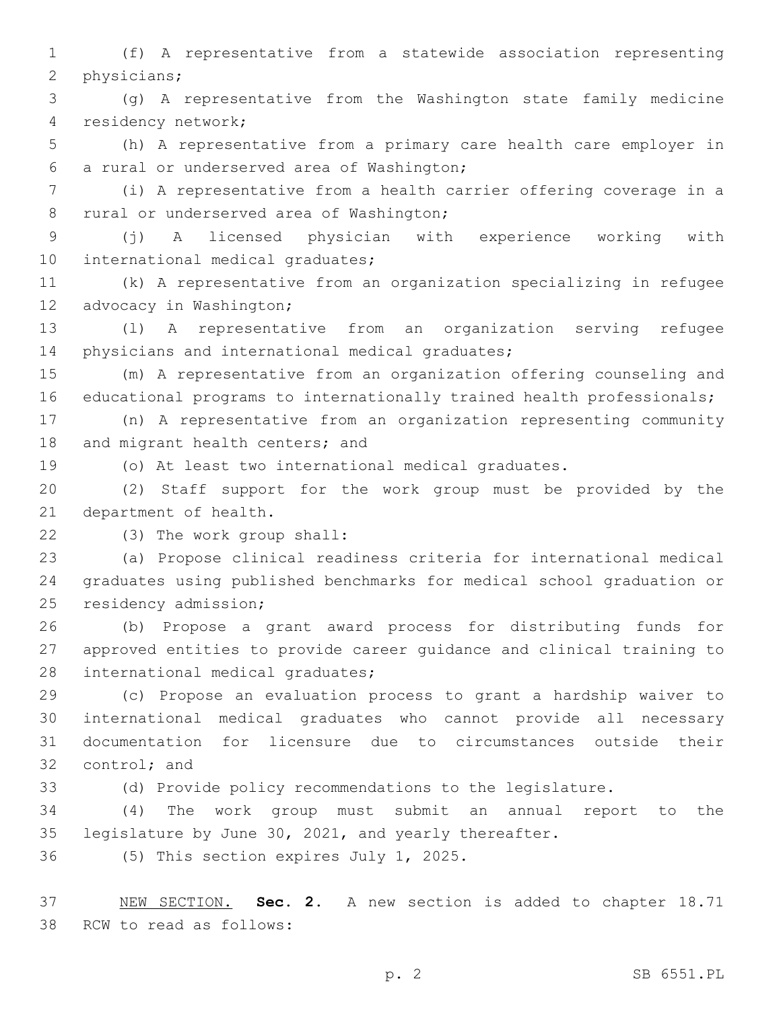1 (f) A representative from a statewide association representing 2 physicians;

3 (g) A representative from the Washington state family medicine residency network;4

5 (h) A representative from a primary care health care employer in a rural or underserved area of Washington;6

7 (i) A representative from a health carrier offering coverage in a 8 rural or underserved area of Washington;

9 (j) A licensed physician with experience working with 10 international medical graduates;

11 (k) A representative from an organization specializing in refugee 12 advocacy in Washington;

13 (l) A representative from an organization serving refugee 14 physicians and international medical graduates;

15 (m) A representative from an organization offering counseling and 16 educational programs to internationally trained health professionals;

17 (n) A representative from an organization representing community 18 and migrant health centers; and

19 (o) At least two international medical graduates.

20 (2) Staff support for the work group must be provided by the 21 department of health.

(3) The work group shall:22

23 (a) Propose clinical readiness criteria for international medical 24 graduates using published benchmarks for medical school graduation or 25 residency admission;

26 (b) Propose a grant award process for distributing funds for 27 approved entities to provide career guidance and clinical training to 28 international medical graduates;

 (c) Propose an evaluation process to grant a hardship waiver to international medical graduates who cannot provide all necessary documentation for licensure due to circumstances outside their 32 control; and

33 (d) Provide policy recommendations to the legislature.

34 (4) The work group must submit an annual report to the 35 legislature by June 30, 2021, and yearly thereafter.

36 (5) This section expires July 1, 2025.

37 NEW SECTION. **Sec. 2.** A new section is added to chapter 18.71 38 RCW to read as follows: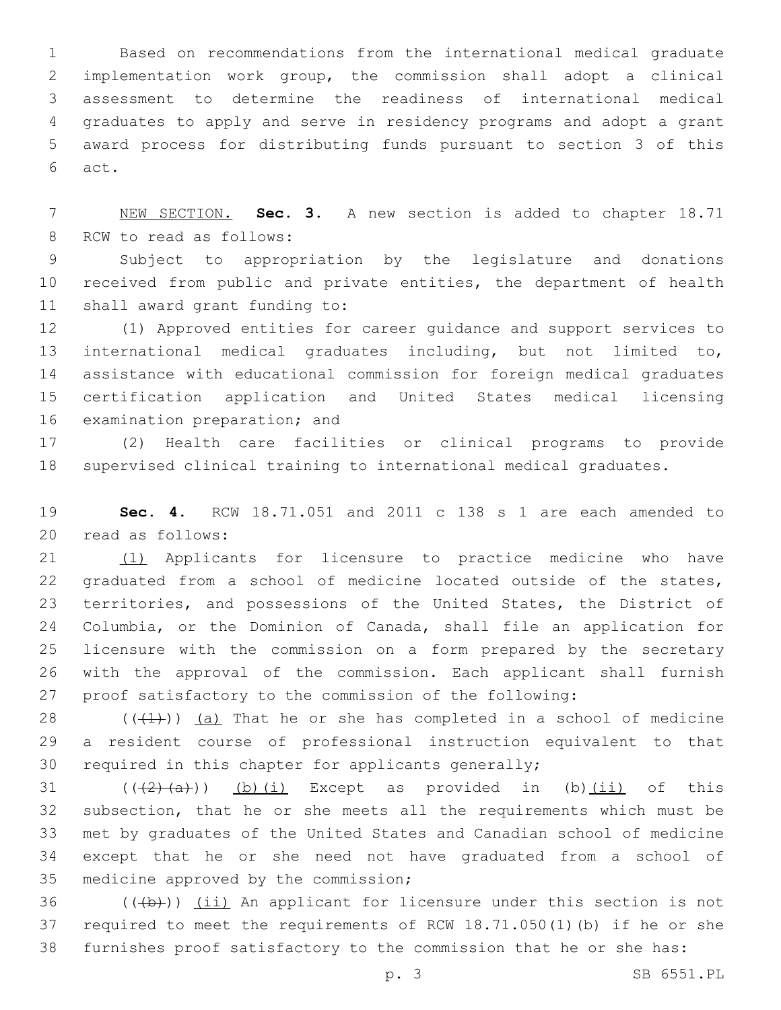Based on recommendations from the international medical graduate implementation work group, the commission shall adopt a clinical assessment to determine the readiness of international medical graduates to apply and serve in residency programs and adopt a grant award process for distributing funds pursuant to section 3 of this 6 act.

 NEW SECTION. **Sec. 3.** A new section is added to chapter 18.71 8 RCW to read as follows:

 Subject to appropriation by the legislature and donations received from public and private entities, the department of health 11 shall award grant funding to:

 (1) Approved entities for career guidance and support services to international medical graduates including, but not limited to, assistance with educational commission for foreign medical graduates certification application and United States medical licensing 16 examination preparation; and

 (2) Health care facilities or clinical programs to provide supervised clinical training to international medical graduates.

 **Sec. 4.** RCW 18.71.051 and 2011 c 138 s 1 are each amended to 20 read as follows:

 (1) Applicants for licensure to practice medicine who have graduated from a school of medicine located outside of the states, territories, and possessions of the United States, the District of Columbia, or the Dominion of Canada, shall file an application for licensure with the commission on a form prepared by the secretary with the approval of the commission. Each applicant shall furnish proof satisfactory to the commission of the following:

 $((+1))$  (a) That he or she has completed in a school of medicine a resident course of professional instruction equivalent to that required in this chapter for applicants generally;

 $((+2)+(a))$   $(b)$   $(i)$  Except as provided in (b) $(ii)$  of this subsection, that he or she meets all the requirements which must be met by graduates of the United States and Canadian school of medicine except that he or she need not have graduated from a school of 35 medicine approved by the commission;

36  $((+b))$  (ii) An applicant for licensure under this section is not required to meet the requirements of RCW 18.71.050(1)(b) if he or she furnishes proof satisfactory to the commission that he or she has: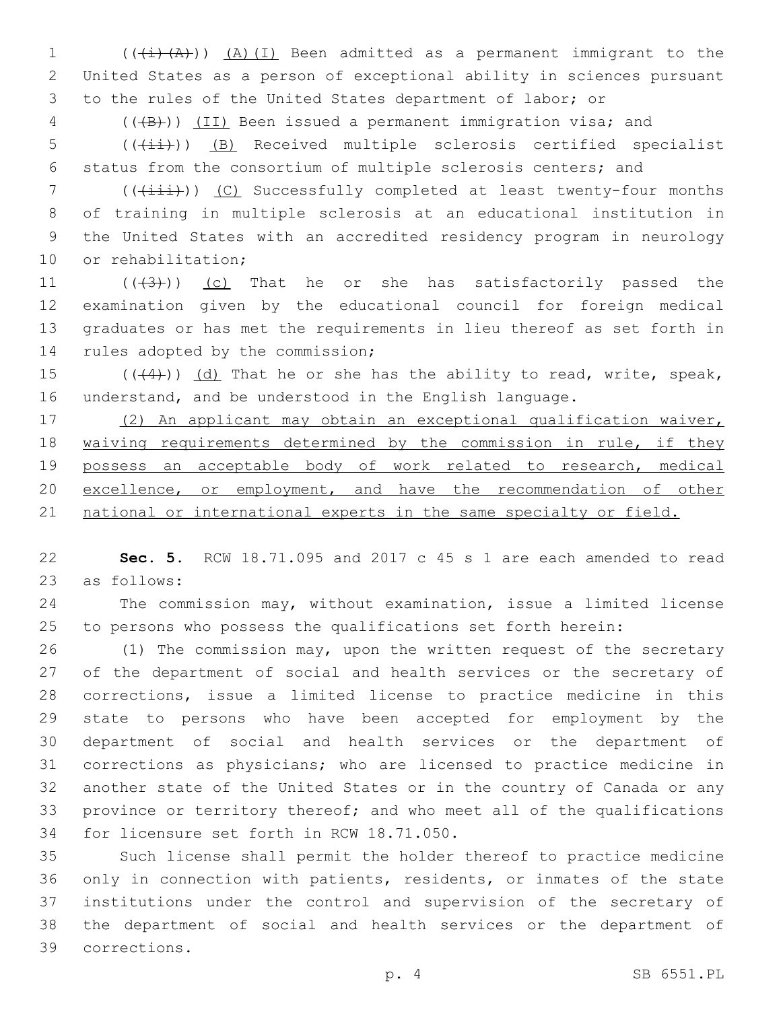1  $((+i)(A))$   $(A)(I)$  Been admitted as a permanent immigrant to the United States as a person of exceptional ability in sciences pursuant to the rules of the United States department of labor; or

4 (((B))) (II) Been issued a permanent immigration visa; and

5 (( $(i+1)$ ) (B) Received multiple sclerosis certified specialist status from the consortium of multiple sclerosis centers; and

7 (( $(i+ii)$ ) (C) Successfully completed at least twenty-four months of training in multiple sclerosis at an educational institution in the United States with an accredited residency program in neurology 10 or rehabilitation;

 $((+3+))$  (c) That he or she has satisfactorily passed the examination given by the educational council for foreign medical graduates or has met the requirements in lieu thereof as set forth in 14 rules adopted by the commission;

15  $((44))$   $(d)$  That he or she has the ability to read, write, speak, understand, and be understood in the English language.

 (2) An applicant may obtain an exceptional qualification waiver, 18 waiving requirements determined by the commission in rule, if they possess an acceptable body of work related to research, medical 20 excellence, or employment, and have the recommendation of other 21 national or international experts in the same specialty or field.

 **Sec. 5.** RCW 18.71.095 and 2017 c 45 s 1 are each amended to read 23 as follows:

 The commission may, without examination, issue a limited license to persons who possess the qualifications set forth herein:

 (1) The commission may, upon the written request of the secretary of the department of social and health services or the secretary of corrections, issue a limited license to practice medicine in this state to persons who have been accepted for employment by the department of social and health services or the department of corrections as physicians; who are licensed to practice medicine in another state of the United States or in the country of Canada or any province or territory thereof; and who meet all of the qualifications 34 for licensure set forth in RCW 18.71.050.

 Such license shall permit the holder thereof to practice medicine only in connection with patients, residents, or inmates of the state institutions under the control and supervision of the secretary of the department of social and health services or the department of corrections.39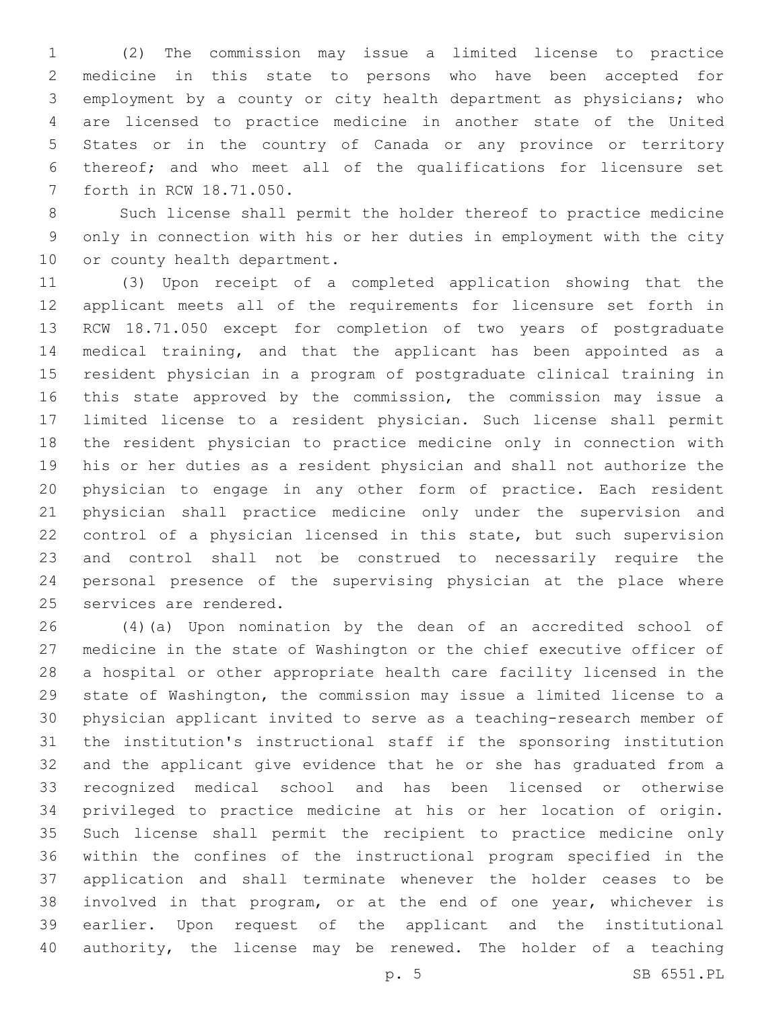(2) The commission may issue a limited license to practice medicine in this state to persons who have been accepted for employment by a county or city health department as physicians; who are licensed to practice medicine in another state of the United States or in the country of Canada or any province or territory thereof; and who meet all of the qualifications for licensure set 7 forth in RCW 18.71.050.

 Such license shall permit the holder thereof to practice medicine only in connection with his or her duties in employment with the city 10 or county health department.

 (3) Upon receipt of a completed application showing that the applicant meets all of the requirements for licensure set forth in RCW 18.71.050 except for completion of two years of postgraduate medical training, and that the applicant has been appointed as a resident physician in a program of postgraduate clinical training in this state approved by the commission, the commission may issue a limited license to a resident physician. Such license shall permit the resident physician to practice medicine only in connection with his or her duties as a resident physician and shall not authorize the physician to engage in any other form of practice. Each resident physician shall practice medicine only under the supervision and control of a physician licensed in this state, but such supervision and control shall not be construed to necessarily require the personal presence of the supervising physician at the place where 25 services are rendered.

 (4)(a) Upon nomination by the dean of an accredited school of medicine in the state of Washington or the chief executive officer of a hospital or other appropriate health care facility licensed in the state of Washington, the commission may issue a limited license to a physician applicant invited to serve as a teaching-research member of the institution's instructional staff if the sponsoring institution and the applicant give evidence that he or she has graduated from a recognized medical school and has been licensed or otherwise privileged to practice medicine at his or her location of origin. Such license shall permit the recipient to practice medicine only within the confines of the instructional program specified in the application and shall terminate whenever the holder ceases to be involved in that program, or at the end of one year, whichever is earlier. Upon request of the applicant and the institutional authority, the license may be renewed. The holder of a teaching

p. 5 SB 6551.PL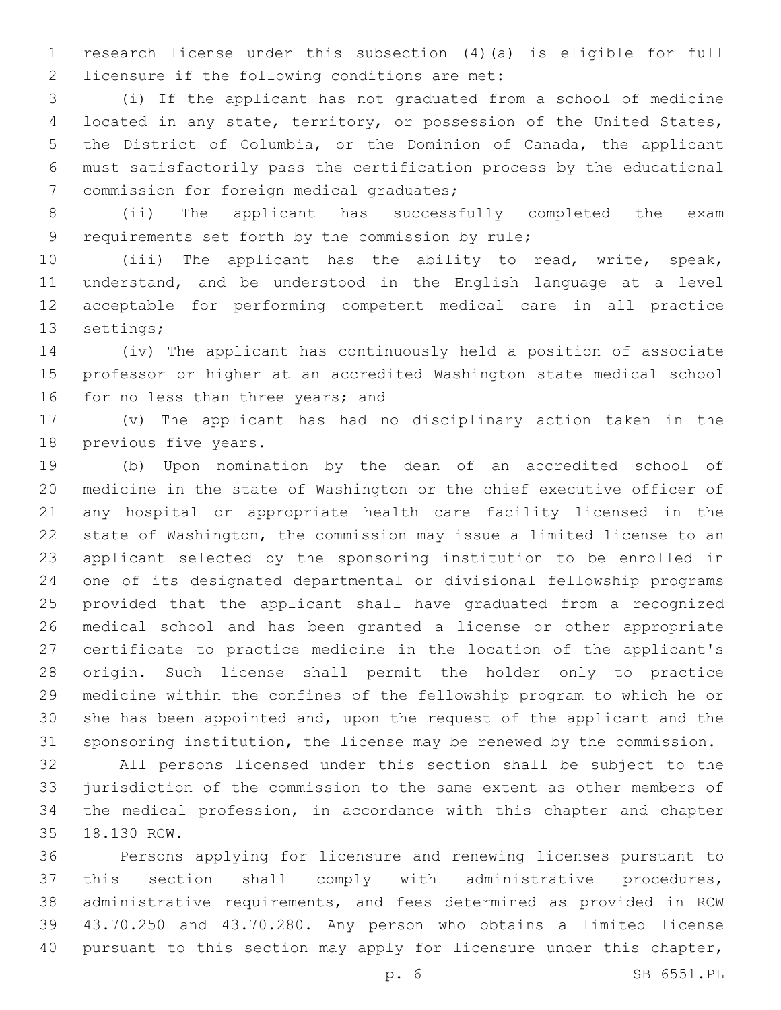research license under this subsection (4)(a) is eligible for full 2 licensure if the following conditions are met:

 (i) If the applicant has not graduated from a school of medicine located in any state, territory, or possession of the United States, the District of Columbia, or the Dominion of Canada, the applicant must satisfactorily pass the certification process by the educational 7 commission for foreign medical graduates;

 (ii) The applicant has successfully completed the exam 9 requirements set forth by the commission by rule;

 (iii) The applicant has the ability to read, write, speak, understand, and be understood in the English language at a level acceptable for performing competent medical care in all practice 13 settings;

 (iv) The applicant has continuously held a position of associate professor or higher at an accredited Washington state medical school 16 for no less than three years; and

 (v) The applicant has had no disciplinary action taken in the 18 previous five years.

 (b) Upon nomination by the dean of an accredited school of medicine in the state of Washington or the chief executive officer of any hospital or appropriate health care facility licensed in the state of Washington, the commission may issue a limited license to an applicant selected by the sponsoring institution to be enrolled in one of its designated departmental or divisional fellowship programs provided that the applicant shall have graduated from a recognized medical school and has been granted a license or other appropriate certificate to practice medicine in the location of the applicant's origin. Such license shall permit the holder only to practice medicine within the confines of the fellowship program to which he or she has been appointed and, upon the request of the applicant and the sponsoring institution, the license may be renewed by the commission.

 All persons licensed under this section shall be subject to the jurisdiction of the commission to the same extent as other members of the medical profession, in accordance with this chapter and chapter 18.130 RCW.35

 Persons applying for licensure and renewing licenses pursuant to this section shall comply with administrative procedures, administrative requirements, and fees determined as provided in RCW 43.70.250 and 43.70.280. Any person who obtains a limited license 40 pursuant to this section may apply for licensure under this chapter,

p. 6 SB 6551.PL